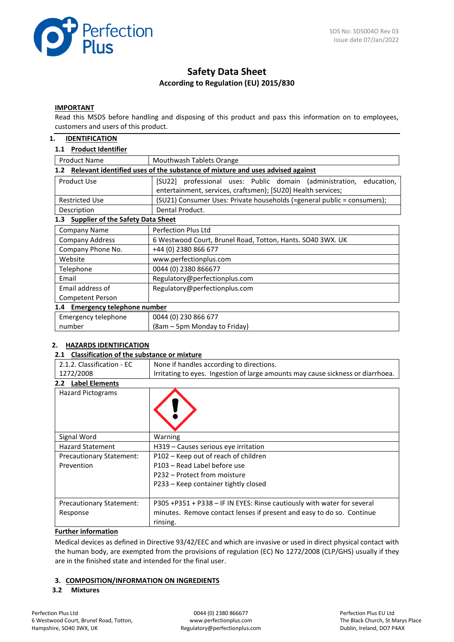

# **Safety Data Sheet According to Regulation (EU) 2015/830**

#### **IMPORTANT**

Read this MSDS before handling and disposing of this product and pass this information on to employees, customers and users of this product.

#### **1. IDENTIFICATION**

#### **1.1 Product Identifier**

| <b>Product Name</b><br>Mouthwash Tablets Orange                                      |                                                                         |  |  |  |  |
|--------------------------------------------------------------------------------------|-------------------------------------------------------------------------|--|--|--|--|
| Relevant identified uses of the substance of mixture and uses advised against<br>1.2 |                                                                         |  |  |  |  |
| Product Use                                                                          | [SU22] professional uses: Public domain (administration,<br>education,  |  |  |  |  |
|                                                                                      | entertainment, services, craftsmen); [SU20] Health services;            |  |  |  |  |
| <b>Restricted Use</b>                                                                | (SU21) Consumer Uses: Private households (=general public = consumers); |  |  |  |  |
| Description                                                                          | Dental Product.                                                         |  |  |  |  |
| <b>Supplier of the Safety Data Sheet</b><br>1.3                                      |                                                                         |  |  |  |  |
| Company Name                                                                         | Perfection Plus Ltd                                                     |  |  |  |  |
| <b>Company Address</b>                                                               | 6 Westwood Court, Brunel Road, Totton, Hants. SO40 3WX. UK              |  |  |  |  |
| Company Phone No.                                                                    | +44 (0) 2380 866 677                                                    |  |  |  |  |
| Website                                                                              | www.perfectionplus.com                                                  |  |  |  |  |
| Telephone                                                                            | 0044 (0) 2380 866677                                                    |  |  |  |  |
| Email                                                                                | Regulatory@perfectionplus.com                                           |  |  |  |  |
| Email address of                                                                     | Regulatory@perfectionplus.com                                           |  |  |  |  |
| <b>Competent Person</b>                                                              |                                                                         |  |  |  |  |
| 1.4 Emergency telephone number                                                       |                                                                         |  |  |  |  |
| Emergency telephone                                                                  | 0044 (0) 230 866 677                                                    |  |  |  |  |
| number                                                                               | (8am – 5pm Monday to Friday)                                            |  |  |  |  |

#### **2. HAZARDS IDENTIFICATION**

#### **2.1 Classification of the substance or mixture**

| 2.1.2. Classification - EC<br>None if handles according to directions.                       |                                                                         |  |  |
|----------------------------------------------------------------------------------------------|-------------------------------------------------------------------------|--|--|
| 1272/2008<br>Irritating to eyes. Ingestion of large amounts may cause sickness or diarrhoea. |                                                                         |  |  |
| <b>Label Elements</b><br>2.2 <sub>2</sub>                                                    |                                                                         |  |  |
| <b>Hazard Pictograms</b>                                                                     |                                                                         |  |  |
| Signal Word<br>Warning                                                                       |                                                                         |  |  |
| <b>Hazard Statement</b>                                                                      | H319 – Causes serious eye irritation                                    |  |  |
| <b>Precautionary Statement:</b>                                                              | P102 – Keep out of reach of children                                    |  |  |
| Prevention                                                                                   | P103 - Read Label before use                                            |  |  |
|                                                                                              | P232 – Protect from moisture                                            |  |  |
|                                                                                              | P233 – Keep container tightly closed                                    |  |  |
|                                                                                              |                                                                         |  |  |
| Precautionary Statement:                                                                     | P305 +P351 + P338 - IF IN EYES: Rinse cautiously with water for several |  |  |
| Response                                                                                     | minutes. Remove contact lenses if present and easy to do so. Continue   |  |  |
|                                                                                              | rinsing.                                                                |  |  |

## **Further information**

Medical devices as defined in Directive 93/42/EEC and which are invasive or used in direct physical contact with the human body, are exempted from the provisions of regulation (EC) No 1272/2008 (CLP/GHS) usually if they are in the finished state and intended for the final user.

#### **3. COMPOSITION/INFORMATION ON INGREDIENTS**

#### **3.2 Mixtures**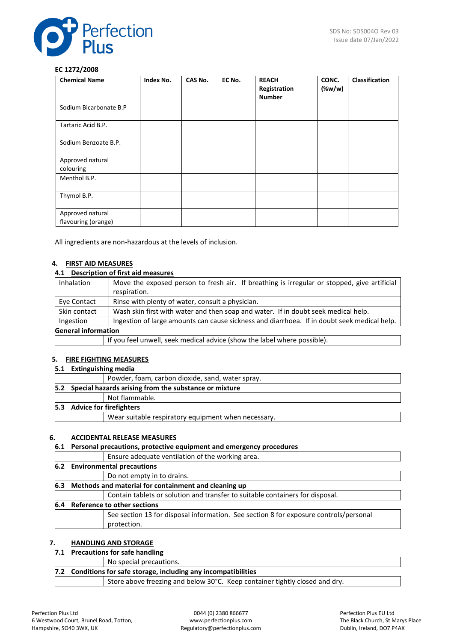

#### **EC 1272/2008**

| <b>Chemical Name</b>                    | Index No. | CAS No. | EC No. | <b>REACH</b><br>Registration<br><b>Number</b> | CONC.<br>(% | <b>Classification</b> |
|-----------------------------------------|-----------|---------|--------|-----------------------------------------------|-------------|-----------------------|
| Sodium Bicarbonate B.P                  |           |         |        |                                               |             |                       |
| Tartaric Acid B.P.                      |           |         |        |                                               |             |                       |
| Sodium Benzoate B.P.                    |           |         |        |                                               |             |                       |
| Approved natural<br>colouring           |           |         |        |                                               |             |                       |
| Menthol B.P.                            |           |         |        |                                               |             |                       |
| Thymol B.P.                             |           |         |        |                                               |             |                       |
| Approved natural<br>flavouring (orange) |           |         |        |                                               |             |                       |

All ingredients are non-hazardous at the levels of inclusion.

## **4. FIRST AID MEASURES**

## **4.1 Description of first aid measures**

| <b>Inhalation</b>          | Move the exposed person to fresh air. If breathing is irregular or stopped, give artificial |  |  |
|----------------------------|---------------------------------------------------------------------------------------------|--|--|
|                            | respiration.                                                                                |  |  |
| Eye Contact                | Rinse with plenty of water, consult a physician.                                            |  |  |
| Skin contact               | Wash skin first with water and then soap and water. If in doubt seek medical help.          |  |  |
| Ingestion                  | Ingestion of large amounts can cause sickness and diarrhoea. If in doubt seek medical help. |  |  |
| <b>General information</b> |                                                                                             |  |  |
|                            | If you feel unwell, seek medical advice (show the label where possible).                    |  |  |

#### **5. FIRE FIGHTING MEASURES**

#### **5.1 Extinguishing media**

|  | Powder, foam, carbon dioxide, sand, water spray.          |
|--|-----------------------------------------------------------|
|  | 5.2 Special hazards arising from the substance or mixture |
|  | Not flammable.                                            |
|  | 5.3 Advice for firefighters                               |
|  | Wear suitable respiratory equipment when necessary.       |
|  |                                                           |

## **6. ACCIDENTAL RELEASE MEASURES**

## **6.1 Personal precautions, protective equipment and emergency procedures**

| . Steeling presentations protective administration such allegated broadwar            |  |  |  |  |
|---------------------------------------------------------------------------------------|--|--|--|--|
| Ensure adequate ventilation of the working area.                                      |  |  |  |  |
| 6.2 Environmental precautions                                                         |  |  |  |  |
| Do not empty in to drains.                                                            |  |  |  |  |
| 6.3 Methods and material for containment and cleaning up                              |  |  |  |  |
| Contain tablets or solution and transfer to suitable containers for disposal.         |  |  |  |  |
| 6.4 Reference to other sections                                                       |  |  |  |  |
| See section 13 for disposal information. See section 8 for exposure controls/personal |  |  |  |  |
| protection.                                                                           |  |  |  |  |
|                                                                                       |  |  |  |  |

## **7. HANDLING AND STORAGE**

## **7.1 Precautions for safe handling**

|                                                                             | No special precautions. |  |  |
|-----------------------------------------------------------------------------|-------------------------|--|--|
| 7.2 Conditions for safe storage, including any incompatibilities            |                         |  |  |
| Store above freezing and below 30°C. Keep container tightly closed and dry. |                         |  |  |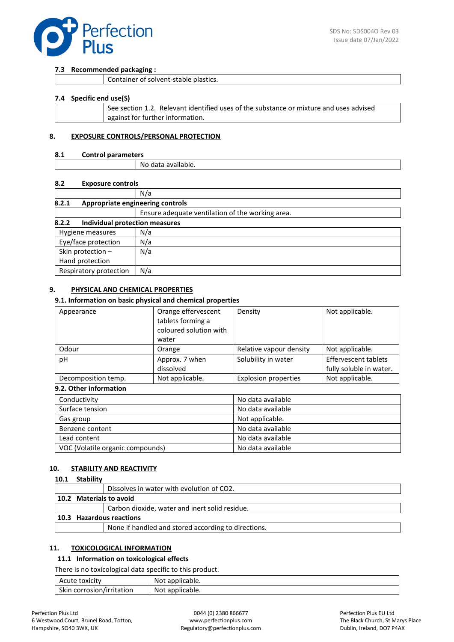

#### **7.3 Recommended packaging :**

|  | Container of solvent-stable plastics. |
|--|---------------------------------------|
|--|---------------------------------------|

#### **7.4 Specific end use(S)**

| See section 1.2. Relevant identified uses of the substance or mixture and uses advised |
|----------------------------------------------------------------------------------------|
| against for further information.                                                       |
|                                                                                        |

#### **8. EXPOSURE CONTROLS/PERSONAL PROTECTION**

#### **8.1 Control parameters**

| Νc<br>) data<br>' dvdildDie. |  |
|------------------------------|--|

#### **8.2 Exposure controls**

|                                           | N/a                                              |  |  |  |
|-------------------------------------------|--------------------------------------------------|--|--|--|
| 8.2.1<br>Appropriate engineering controls |                                                  |  |  |  |
|                                           | Ensure adequate ventilation of the working area. |  |  |  |
| 8.2.2<br>Individual protection measures   |                                                  |  |  |  |
| N/a<br>Hygiene measures                   |                                                  |  |  |  |
| Eye/face protection                       | N/a                                              |  |  |  |
| Skin protection -                         | N/a                                              |  |  |  |
| Hand protection                           |                                                  |  |  |  |
| Respiratory protection                    | N/a                                              |  |  |  |

#### **9. PHYSICAL AND CHEMICAL PROPERTIES**

#### **9.1. Information on basic physical and chemical properties**

| Appearance          | Orange effervescent<br>tablets forming a<br>coloured solution with<br>water | Density                     | Not applicable.                                        |
|---------------------|-----------------------------------------------------------------------------|-----------------------------|--------------------------------------------------------|
| Odour               | Orange                                                                      | Relative vapour density     | Not applicable.                                        |
| рH                  | Approx. 7 when<br>dissolved                                                 | Solubility in water         | <b>Effervescent tablets</b><br>fully soluble in water. |
| Decomposition temp. | Not applicable.                                                             | <b>Explosion properties</b> | Not applicable.                                        |

## **9.2. Other information**

| Conductivity                     | No data available |
|----------------------------------|-------------------|
| Surface tension                  | No data available |
| Gas group                        | Not applicable.   |
| Benzene content                  | No data available |
| Lead content                     | No data available |
| VOC (Volatile organic compounds) | No data available |

#### **10. STABILITY AND REACTIVITY**

#### **10.1 Stability**

|                          | Dissolves in water with evolution of CO2.           |
|--------------------------|-----------------------------------------------------|
| 10.2 Materials to avoid  |                                                     |
|                          | Carbon dioxide, water and inert solid residue.      |
| 10.3 Hazardous reactions |                                                     |
|                          | None if handled and stored according to directions. |
|                          |                                                     |

#### **11. TOXICOLOGICAL INFORMATION**

#### **11.1 Information on toxicological effects**

There is no toxicological data specific to this product.

| Acute toxicity            | : applicable.<br>Not |
|---------------------------|----------------------|
| Skin corrosion/irritation | Not applicable.      |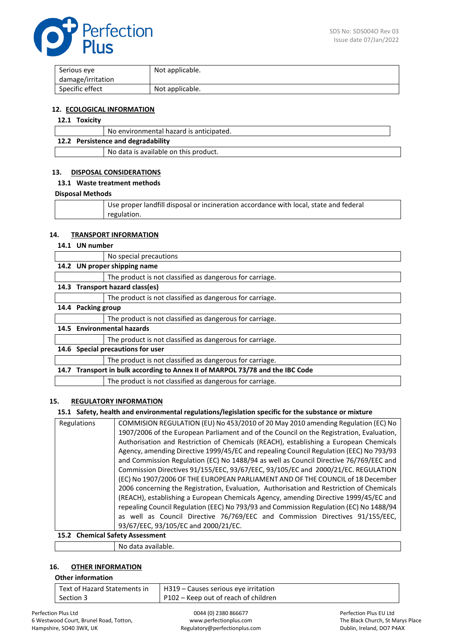

| Serious eye       | Not applicable. |
|-------------------|-----------------|
| damage/irritation |                 |
| Specific effect   | Not applicable. |

#### **12. ECOLOGICAL INFORMATION**

## **12.1 Toxicity**

|                                    | No environmental hazard is anticipated. |  |
|------------------------------------|-----------------------------------------|--|
| 12.2 Persistence and degradability |                                         |  |
|                                    | No data is available on this product.   |  |

## **13. DISPOSAL CONSIDERATIONS**

#### **13.1 Waste treatment methods**

#### **Disposal Methods**

| Use proper landfill disposal or incineration accordance with local, state and federal |
|---------------------------------------------------------------------------------------|
| regulation.                                                                           |

#### **14. TRANSPORT INFORMATION**

#### **14.1 UN number**

|      |                                                                          | No special precautions                                   |
|------|--------------------------------------------------------------------------|----------------------------------------------------------|
|      | 14.2 UN proper shipping name                                             |                                                          |
|      |                                                                          | The product is not classified as dangerous for carriage. |
|      | 14.3 Transport hazard class(es)                                          |                                                          |
|      |                                                                          | The product is not classified as dangerous for carriage. |
|      | 14.4 Packing group                                                       |                                                          |
|      |                                                                          | The product is not classified as dangerous for carriage. |
|      | 14.5 Environmental hazards                                               |                                                          |
|      |                                                                          | The product is not classified as dangerous for carriage. |
| 14.6 | Special precautions for user                                             |                                                          |
|      |                                                                          | The product is not classified as dangerous for carriage. |
| 14.7 | Transport in bulk according to Annex II of MARPOL 73/78 and the IBC Code |                                                          |
|      |                                                                          | The product is not classified as dangerous for carriage. |

## **15. REGULATORY INFORMATION**

## **15.1 Safety, health and environmental regulations/legislation specific for the substance or mixture**

| Regulations | COMMISION REGULATION (EU) No 453/2010 of 20 May 2010 amending Regulation (EC) No         |  |
|-------------|------------------------------------------------------------------------------------------|--|
|             | 1907/2006 of the European Parliament and of the Council on the Registration, Evaluation, |  |
|             | Authorisation and Restriction of Chemicals (REACH), establishing a European Chemicals    |  |
|             | Agency, amending Directive 1999/45/EC and repealing Council Regulation (EEC) No 793/93   |  |
|             | and Commission Regulation (EC) No 1488/94 as well as Council Directive 76/769/EEC and    |  |
|             | Commission Directives 91/155/EEC, 93/67/EEC, 93/105/EC and 2000/21/EC. REGULATION        |  |
|             | (EC) No 1907/2006 OF THE EUROPEAN PARLIAMENT AND OF THE COUNCIL of 18 December           |  |
|             | 2006 concerning the Registration, Evaluation, Authorisation and Restriction of Chemicals |  |
|             | (REACH), establishing a European Chemicals Agency, amending Directive 1999/45/EC and     |  |
|             | repealing Council Regulation (EEC) No 793/93 and Commission Regulation (EC) No 1488/94   |  |
|             | as well as Council Directive 76/769/EEC and Commission Directives 91/155/EEC,            |  |
|             | 93/67/EEC, 93/105/EC and 2000/21/EC.                                                     |  |
|             | 15.2. Chamical Safety Accordment                                                         |  |

# **15.2 Chemical Safety Assessment**

No data available.

#### **16. OTHER INFORMATION**

#### **Other information**

| Text of Hazard Statements in | H319 – Causes serious eye irritation |
|------------------------------|--------------------------------------|
| Section 3                    | P102 – Keep out of reach of children |